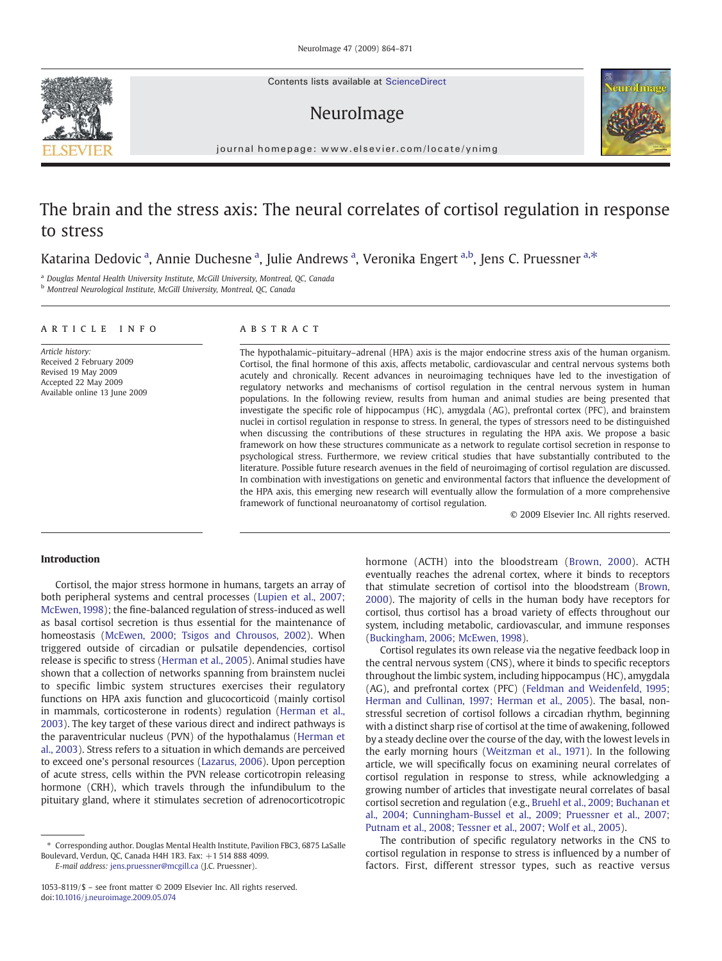Contents lists available at ScienceDirect

# NeuroImage



journal homepage: www.elsevier.com/locate/ynimg

# The brain and the stress axis: The neural correlates of cortisol regulation in response to stress

Katarina Dedovic<sup>a</sup>, Annie Duchesne<sup>a</sup>, Julie Andrews<sup>a</sup>, Veronika Engert<sup>a,b</sup>, Jens C. Pruessner<sup>a,\*</sup>

<sup>a</sup> Douglas Mental Health University Institute, McGill University, Montreal, QC, Canada

<sup>b</sup> Montreal Neurological Institute, McGill University, Montreal, QC, Canada

#### ARTICLE INFO ABSTRACT

Article history: Received 2 February 2009 Revised 19 May 2009 Accepted 22 May 2009 Available online 13 June 2009

The hypothalamic–pituitary–adrenal (HPA) axis is the major endocrine stress axis of the human organism. Cortisol, the final hormone of this axis, affects metabolic, cardiovascular and central nervous systems both acutely and chronically. Recent advances in neuroimaging techniques have led to the investigation of regulatory networks and mechanisms of cortisol regulation in the central nervous system in human populations. In the following review, results from human and animal studies are being presented that investigate the specific role of hippocampus (HC), amygdala (AG), prefrontal cortex (PFC), and brainstem nuclei in cortisol regulation in response to stress. In general, the types of stressors need to be distinguished when discussing the contributions of these structures in regulating the HPA axis. We propose a basic framework on how these structures communicate as a network to regulate cortisol secretion in response to psychological stress. Furthermore, we review critical studies that have substantially contributed to the literature. Possible future research avenues in the field of neuroimaging of cortisol regulation are discussed. In combination with investigations on genetic and environmental factors that influence the development of the HPA axis, this emerging new research will eventually allow the formulation of a more comprehensive framework of functional neuroanatomy of cortisol regulation.

© 2009 Elsevier Inc. All rights reserved.

### Introduction

Cortisol, the major stress hormone in humans, targets an array of both peripheral systems and central processes ([Lupien et al., 2007;](#page-6-0) [McEwen, 1998\)](#page-6-0); the fine-balanced regulation of stress-induced as well as basal cortisol secretion is thus essential for the maintenance of homeostasis ([McEwen, 2000; Tsigos and Chrousos, 2002\)](#page-6-0). When triggered outside of circadian or pulsatile dependencies, cortisol release is specific to stress ([Herman et al., 2005\)](#page-6-0). Animal studies have shown that a collection of networks spanning from brainstem nuclei to specific limbic system structures exercises their regulatory functions on HPA axis function and glucocorticoid (mainly cortisol in mammals, corticosterone in rodents) regulation [\(Herman et al.,](#page-6-0) [2003](#page-6-0)). The key target of these various direct and indirect pathways is the paraventricular nucleus (PVN) of the hypothalamus [\(Herman et](#page-6-0) [al., 2003](#page-6-0)). Stress refers to a situation in which demands are perceived to exceed one's personal resources [\(Lazarus, 2006](#page-6-0)). Upon perception of acute stress, cells within the PVN release corticotropin releasing hormone (CRH), which travels through the infundibulum to the pituitary gland, where it stimulates secretion of adrenocorticotropic

E-mail address: [jens.pruessner@mcgill.ca](mailto:jens.pruessner@mcgill.ca) (J.C. Pruessner).

hormone (ACTH) into the bloodstream ([Brown, 2000](#page-5-0)). ACTH eventually reaches the adrenal cortex, where it binds to receptors that stimulate secretion of cortisol into the bloodstream [\(Brown,](#page-5-0) [2000](#page-5-0)). The majority of cells in the human body have receptors for cortisol, thus cortisol has a broad variety of effects throughout our system, including metabolic, cardiovascular, and immune responses [\(Buckingham, 2006; McEwen, 1998\)](#page-5-0).

Cortisol regulates its own release via the negative feedback loop in the central nervous system (CNS), where it binds to specific receptors throughout the limbic system, including hippocampus (HC), amygdala (AG), and prefrontal cortex (PFC) [\(Feldman and Weidenfeld, 1995;](#page-6-0) [Herman and Cullinan, 1997; Herman et al., 2005\)](#page-6-0). The basal, nonstressful secretion of cortisol follows a circadian rhythm, beginning with a distinct sharp rise of cortisol at the time of awakening, followed by a steady decline over the course of the day, with the lowest levels in the early morning hours [\(Weitzman et al., 1971](#page-7-0)). In the following article, we will specifically focus on examining neural correlates of cortisol regulation in response to stress, while acknowledging a growing number of articles that investigate neural correlates of basal cortisol secretion and regulation (e.g., [Bruehl et al., 2009; Buchanan et](#page-5-0) [al., 2004; Cunningham-Bussel et al., 2009; Pruessner et al., 2007;](#page-5-0) [Putnam et al., 2008; Tessner et al., 2007; Wolf et al., 2005](#page-5-0)).

The contribution of specific regulatory networks in the CNS to cortisol regulation in response to stress is influenced by a number of factors. First, different stressor types, such as reactive versus

<sup>⁎</sup> Corresponding author. Douglas Mental Health Institute, Pavilion FBC3, 6875 LaSalle Boulevard, Verdun, QC, Canada H4H 1R3. Fax: +1 514 888 4099.

<sup>1053-8119/\$</sup> – see front matter © 2009 Elsevier Inc. All rights reserved. doi[:10.1016/j.neuroimage.2009.05.074](http://dx.doi.org/10.1016/j.neuroimage.2009.05.074)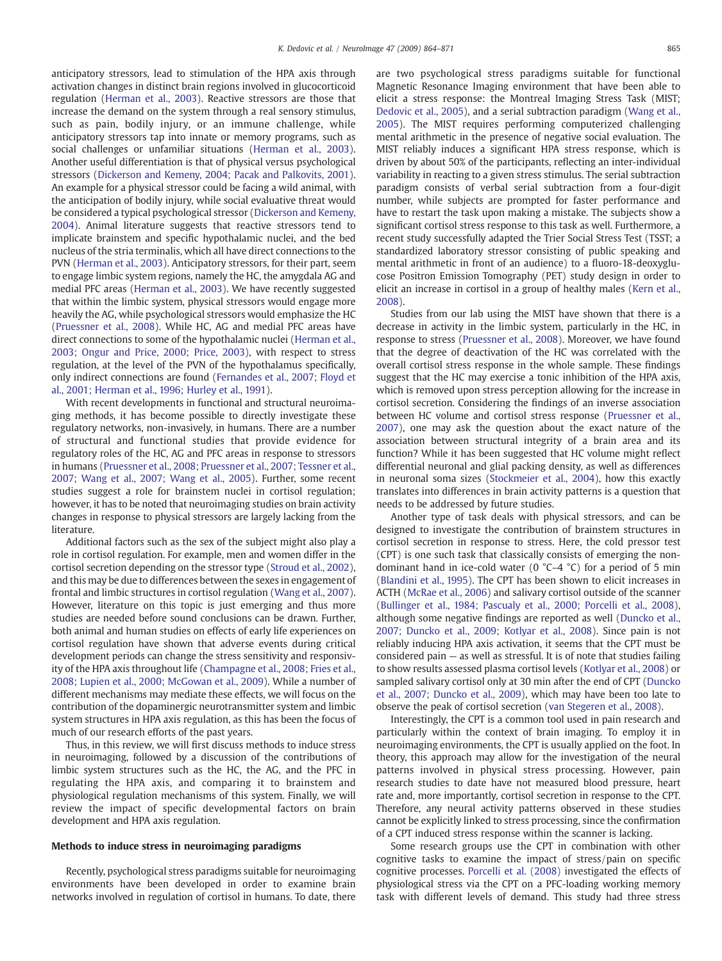anticipatory stressors, lead to stimulation of the HPA axis through activation changes in distinct brain regions involved in glucocorticoid regulation ([Herman et al., 2003\)](#page-6-0). Reactive stressors are those that increase the demand on the system through a real sensory stimulus, such as pain, bodily injury, or an immune challenge, while anticipatory stressors tap into innate or memory programs, such as social challenges or unfamiliar situations [\(Herman et al., 2003](#page-6-0)). Another useful differentiation is that of physical versus psychological stressors ([Dickerson and Kemeny, 2004; Pacak and Palkovits, 2001](#page-6-0)). An example for a physical stressor could be facing a wild animal, with the anticipation of bodily injury, while social evaluative threat would be considered a typical psychological stressor ([Dickerson and Kemeny,](#page-6-0) [2004](#page-6-0)). Animal literature suggests that reactive stressors tend to implicate brainstem and specific hypothalamic nuclei, and the bed nucleus of the stria terminalis, which all have direct connections to the PVN ([Herman et al., 2003](#page-6-0)). Anticipatory stressors, for their part, seem to engage limbic system regions, namely the HC, the amygdala AG and medial PFC areas ([Herman et al., 2003](#page-6-0)). We have recently suggested that within the limbic system, physical stressors would engage more heavily the AG, while psychological stressors would emphasize the HC [\(Pruessner et al., 2008\)](#page-7-0). While HC, AG and medial PFC areas have direct connections to some of the hypothalamic nuclei [\(Herman et al.,](#page-6-0) [2003; Ongur and Price, 2000; Price, 2003](#page-6-0)), with respect to stress regulation, at the level of the PVN of the hypothalamus specifically, only indirect connections are found ([Fernandes et al., 2007; Floyd et](#page-6-0) [al., 2001; Herman et al., 1996; Hurley et al., 1991\)](#page-6-0).

With recent developments in functional and structural neuroimaging methods, it has become possible to directly investigate these regulatory networks, non-invasively, in humans. There are a number of structural and functional studies that provide evidence for regulatory roles of the HC, AG and PFC areas in response to stressors in humans ([Pruessner et al., 2008; Pruessner et al., 2007; Tessner et al.,](#page-7-0) [2007; Wang et al., 2007; Wang et al., 2005](#page-7-0)). Further, some recent studies suggest a role for brainstem nuclei in cortisol regulation; however, it has to be noted that neuroimaging studies on brain activity changes in response to physical stressors are largely lacking from the literature.

Additional factors such as the sex of the subject might also play a role in cortisol regulation. For example, men and women differ in the cortisol secretion depending on the stressor type [\(Stroud et al., 2002](#page-7-0)), and this may be due to differences between the sexes in engagement of frontal and limbic structures in cortisol regulation [\(Wang et al., 2007](#page-7-0)). However, literature on this topic is just emerging and thus more studies are needed before sound conclusions can be drawn. Further, both animal and human studies on effects of early life experiences on cortisol regulation have shown that adverse events during critical development periods can change the stress sensitivity and responsivity of the HPA axis throughout life [\(Champagne et al., 2008; Fries et al.,](#page-5-0) [2008; Lupien et al., 2000; McGowan et al., 2009](#page-5-0)). While a number of different mechanisms may mediate these effects, we will focus on the contribution of the dopaminergic neurotransmitter system and limbic system structures in HPA axis regulation, as this has been the focus of much of our research efforts of the past years.

Thus, in this review, we will first discuss methods to induce stress in neuroimaging, followed by a discussion of the contributions of limbic system structures such as the HC, the AG, and the PFC in regulating the HPA axis, and comparing it to brainstem and physiological regulation mechanisms of this system. Finally, we will review the impact of specific developmental factors on brain development and HPA axis regulation.

## Methods to induce stress in neuroimaging paradigms

Recently, psychological stress paradigms suitable for neuroimaging environments have been developed in order to examine brain networks involved in regulation of cortisol in humans. To date, there are two psychological stress paradigms suitable for functional Magnetic Resonance Imaging environment that have been able to elicit a stress response: the Montreal Imaging Stress Task (MIST; [Dedovic et al., 2005\)](#page-6-0), and a serial subtraction paradigm ([Wang et al.,](#page-7-0) [2005](#page-7-0)). The MIST requires performing computerized challenging mental arithmetic in the presence of negative social evaluation. The MIST reliably induces a significant HPA stress response, which is driven by about 50% of the participants, reflecting an inter-individual variability in reacting to a given stress stimulus. The serial subtraction paradigm consists of verbal serial subtraction from a four-digit number, while subjects are prompted for faster performance and have to restart the task upon making a mistake. The subjects show a significant cortisol stress response to this task as well. Furthermore, a recent study successfully adapted the Trier Social Stress Test (TSST; a standardized laboratory stressor consisting of public speaking and mental arithmetic in front of an audience) to a fluoro-18-deoxyglucose Positron Emission Tomography (PET) study design in order to elicit an increase in cortisol in a group of healthy males ([Kern et al.,](#page-6-0) [2008\)](#page-6-0).

Studies from our lab using the MIST have shown that there is a decrease in activity in the limbic system, particularly in the HC, in response to stress ([Pruessner et al., 2008\)](#page-7-0). Moreover, we have found that the degree of deactivation of the HC was correlated with the overall cortisol stress response in the whole sample. These findings suggest that the HC may exercise a tonic inhibition of the HPA axis, which is removed upon stress perception allowing for the increase in cortisol secretion. Considering the findings of an inverse association between HC volume and cortisol stress response ([Pruessner et al.,](#page-7-0) [2007\)](#page-7-0), one may ask the question about the exact nature of the association between structural integrity of a brain area and its function? While it has been suggested that HC volume might reflect differential neuronal and glial packing density, as well as differences in neuronal soma sizes [\(Stockmeier et al., 2004\)](#page-7-0), how this exactly translates into differences in brain activity patterns is a question that needs to be addressed by future studies.

Another type of task deals with physical stressors, and can be designed to investigate the contribution of brainstem structures in cortisol secretion in response to stress. Here, the cold pressor test (CPT) is one such task that classically consists of emerging the nondominant hand in ice-cold water (0  $^{\circ}$ C–4  $^{\circ}$ C) for a period of 5 min [\(Blandini et al., 1995](#page-5-0)). The CPT has been shown to elicit increases in ACTH [\(McRae et al., 2006\)](#page-6-0) and salivary cortisol outside of the scanner [\(Bullinger et al., 1984; Pascualy et al., 2000; Porcelli et al., 2008](#page-5-0)), although some negative findings are reported as well ([Duncko et al.,](#page-6-0) [2007; Duncko et al., 2009; Kotlyar et al., 2008\)](#page-6-0). Since pain is not reliably inducing HPA axis activation, it seems that the CPT must be considered pain — as well as stressful. It is of note that studies failing to show results assessed plasma cortisol levels ([Kotlyar et al., 2008\)](#page-6-0) or sampled salivary cortisol only at 30 min after the end of CPT ([Duncko](#page-6-0) [et al., 2007; Duncko et al., 2009](#page-6-0)), which may have been too late to observe the peak of cortisol secretion ([van Stegeren et al., 2008](#page-7-0)).

Interestingly, the CPT is a common tool used in pain research and particularly within the context of brain imaging. To employ it in neuroimaging environments, the CPT is usually applied on the foot. In theory, this approach may allow for the investigation of the neural patterns involved in physical stress processing. However, pain research studies to date have not measured blood pressure, heart rate and, more importantly, cortisol secretion in response to the CPT. Therefore, any neural activity patterns observed in these studies cannot be explicitly linked to stress processing, since the confirmation of a CPT induced stress response within the scanner is lacking.

Some research groups use the CPT in combination with other cognitive tasks to examine the impact of stress/pain on specific cognitive processes. [Porcelli et al. \(2008\)](#page-7-0) investigated the effects of physiological stress via the CPT on a PFC-loading working memory task with different levels of demand. This study had three stress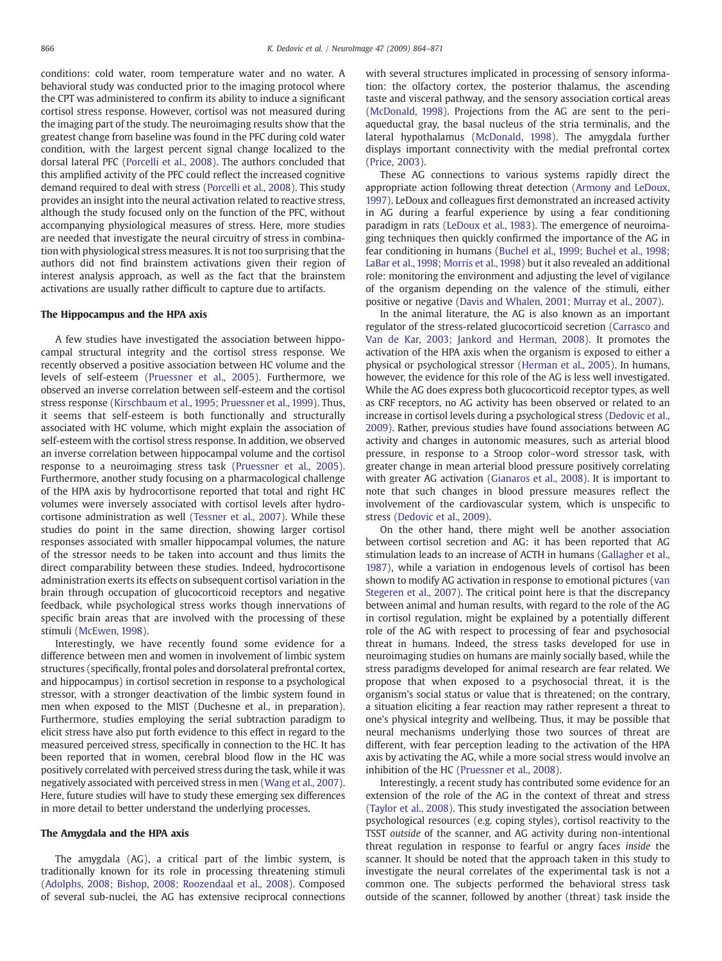conditions: cold water, room temperature water and no water. A behavioral study was conducted prior to the imaging protocol where the CPT was administered to confirm its ability to induce a significant cortisol stress response. However, cortisol was not measured during the imaging part of the study. The neuroimaging results show that the greatest change from baseline was found in the PFC during cold water condition, with the largest percent signal change localized to the dorsal lateral PFC [\(Porcelli et al., 2008](#page-7-0)). The authors concluded that this amplified activity of the PFC could reflect the increased cognitive demand required to deal with stress ([Porcelli et al., 2008](#page-7-0)). This study provides an insight into the neural activation related to reactive stress, although the study focused only on the function of the PFC, without accompanying physiological measures of stress. Here, more studies are needed that investigate the neural circuitry of stress in combination with physiological stress measures. It is not too surprising that the authors did not find brainstem activations given their region of interest analysis approach, as well as the fact that the brainstem activations are usually rather difficult to capture due to artifacts.

# The Hippocampus and the HPA axis

A few studies have investigated the association between hippocampal structural integrity and the cortisol stress response. We recently observed a positive association between HC volume and the levels of self-esteem ([Pruessner et al., 2005](#page-7-0)). Furthermore, we observed an inverse correlation between self-esteem and the cortisol stress response [\(Kirschbaum et al., 1995; Pruessner et al., 1999](#page-6-0)). Thus, it seems that self-esteem is both functionally and structurally associated with HC volume, which might explain the association of self-esteem with the cortisol stress response. In addition, we observed an inverse correlation between hippocampal volume and the cortisol response to a neuroimaging stress task ([Pruessner et al., 2005](#page-7-0)). Furthermore, another study focusing on a pharmacological challenge of the HPA axis by hydrocortisone reported that total and right HC volumes were inversely associated with cortisol levels after hydrocortisone administration as well ([Tessner et al., 2007\)](#page-7-0). While these studies do point in the same direction, showing larger cortisol responses associated with smaller hippocampal volumes, the nature of the stressor needs to be taken into account and thus limits the direct comparability between these studies. Indeed, hydrocortisone administration exerts its effects on subsequent cortisol variation in the brain through occupation of glucocorticoid receptors and negative feedback, while psychological stress works though innervations of specific brain areas that are involved with the processing of these stimuli [\(McEwen, 1998\)](#page-6-0).

Interestingly, we have recently found some evidence for a difference between men and women in involvement of limbic system structures (specifically, frontal poles and dorsolateral prefrontal cortex, and hippocampus) in cortisol secretion in response to a psychological stressor, with a stronger deactivation of the limbic system found in men when exposed to the MIST (Duchesne et al., in preparation). Furthermore, studies employing the serial subtraction paradigm to elicit stress have also put forth evidence to this effect in regard to the measured perceived stress, specifically in connection to the HC. It has been reported that in women, cerebral blood flow in the HC was positively correlated with perceived stress during the task, while it was negatively associated with perceived stress in men [\(Wang et al., 2007](#page-7-0)). Here, future studies will have to study these emerging sex differences in more detail to better understand the underlying processes.

#### The Amygdala and the HPA axis

The amygdala (AG), a critical part of the limbic system, is traditionally known for its role in processing threatening stimuli [\(Adolphs, 2008; Bishop, 2008; Roozendaal et al., 2008](#page-5-0)). Composed of several sub-nuclei, the AG has extensive reciprocal connections with several structures implicated in processing of sensory information: the olfactory cortex, the posterior thalamus, the ascending taste and visceral pathway, and the sensory association cortical areas [\(McDonald, 1998\)](#page-6-0). Projections from the AG are sent to the periaqueductal gray, the basal nucleus of the stria terminalis, and the lateral hypothalamus ([McDonald, 1998](#page-6-0)). The amygdala further displays important connectivity with the medial prefrontal cortex [\(Price, 2003](#page-7-0)).

These AG connections to various systems rapidly direct the appropriate action following threat detection [\(Armony and LeDoux,](#page-5-0) [1997](#page-5-0)). LeDoux and colleagues first demonstrated an increased activity in AG during a fearful experience by using a fear conditioning paradigm in rats ([LeDoux et al., 1983](#page-6-0)). The emergence of neuroimaging techniques then quickly confirmed the importance of the AG in fear conditioning in humans ([Buchel et al., 1999; Buchel et al., 1998;](#page-5-0) [LaBar et al., 1998; Morris et al., 1998\)](#page-5-0) but it also revealed an additional role: monitoring the environment and adjusting the level of vigilance of the organism depending on the valence of the stimuli, either positive or negative [\(Davis and Whalen, 2001; Murray et al., 2007](#page-6-0)).

In the animal literature, the AG is also known as an important regulator of the stress-related glucocorticoid secretion ([Carrasco and](#page-5-0) [Van de Kar, 2003; Jankord and Herman, 2008](#page-5-0)). It promotes the activation of the HPA axis when the organism is exposed to either a physical or psychological stressor ([Herman et al., 2005\)](#page-6-0). In humans, however, the evidence for this role of the AG is less well investigated. While the AG does express both glucocorticoid receptor types, as well as CRF receptors, no AG activity has been observed or related to an increase in cortisol levels during a psychological stress ([Dedovic et al.,](#page-6-0) [2009](#page-6-0)). Rather, previous studies have found associations between AG activity and changes in autonomic measures, such as arterial blood pressure, in response to a Stroop color–word stressor task, with greater change in mean arterial blood pressure positively correlating with greater AG activation [\(Gianaros et al., 2008](#page-6-0)). It is important to note that such changes in blood pressure measures reflect the involvement of the cardiovascular system, which is unspecific to stress [\(Dedovic et al., 2009](#page-6-0)).

On the other hand, there might well be another association between cortisol secretion and AG: it has been reported that AG stimulation leads to an increase of ACTH in humans [\(Gallagher et al.,](#page-6-0) [1987](#page-6-0)), while a variation in endogenous levels of cortisol has been shown to modify AG activation in response to emotional pictures ([van](#page-7-0) [Stegeren et al., 2007\)](#page-7-0). The critical point here is that the discrepancy between animal and human results, with regard to the role of the AG in cortisol regulation, might be explained by a potentially different role of the AG with respect to processing of fear and psychosocial threat in humans. Indeed, the stress tasks developed for use in neuroimaging studies on humans are mainly socially based, while the stress paradigms developed for animal research are fear related. We propose that when exposed to a psychosocial threat, it is the organism's social status or value that is threatened; on the contrary, a situation eliciting a fear reaction may rather represent a threat to one's physical integrity and wellbeing. Thus, it may be possible that neural mechanisms underlying those two sources of threat are different, with fear perception leading to the activation of the HPA axis by activating the AG, while a more social stress would involve an inhibition of the HC [\(Pruessner et al., 2008](#page-7-0)).

Interestingly, a recent study has contributed some evidence for an extension of the role of the AG in the context of threat and stress [\(Taylor et al., 2008](#page-7-0)). This study investigated the association between psychological resources (e.g. coping styles), cortisol reactivity to the TSST outside of the scanner, and AG activity during non-intentional threat regulation in response to fearful or angry faces inside the scanner. It should be noted that the approach taken in this study to investigate the neural correlates of the experimental task is not a common one. The subjects performed the behavioral stress task outside of the scanner, followed by another (threat) task inside the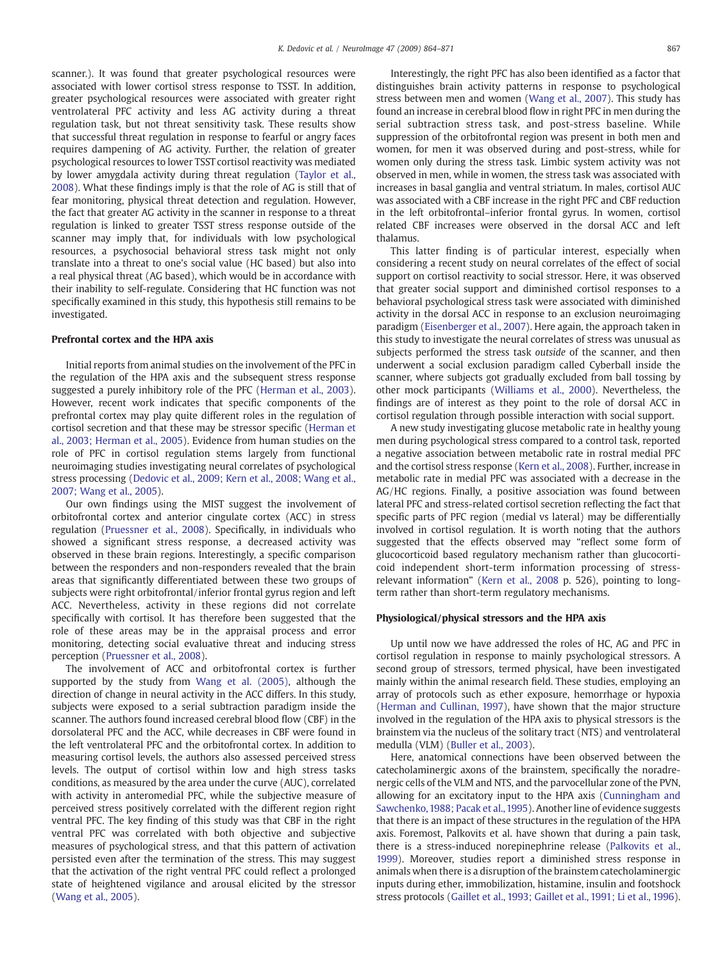scanner.). It was found that greater psychological resources were associated with lower cortisol stress response to TSST. In addition, greater psychological resources were associated with greater right ventrolateral PFC activity and less AG activity during a threat regulation task, but not threat sensitivity task. These results show that successful threat regulation in response to fearful or angry faces requires dampening of AG activity. Further, the relation of greater psychological resources to lower TSST cortisol reactivity was mediated by lower amygdala activity during threat regulation ([Taylor et al.,](#page-7-0) [2008](#page-7-0)). What these findings imply is that the role of AG is still that of fear monitoring, physical threat detection and regulation. However, the fact that greater AG activity in the scanner in response to a threat regulation is linked to greater TSST stress response outside of the scanner may imply that, for individuals with low psychological resources, a psychosocial behavioral stress task might not only translate into a threat to one's social value (HC based) but also into a real physical threat (AG based), which would be in accordance with their inability to self-regulate. Considering that HC function was not specifically examined in this study, this hypothesis still remains to be investigated.

# Prefrontal cortex and the HPA axis

Initial reports from animal studies on the involvement of the PFC in the regulation of the HPA axis and the subsequent stress response suggested a purely inhibitory role of the PFC ([Herman et al., 2003](#page-6-0)). However, recent work indicates that specific components of the prefrontal cortex may play quite different roles in the regulation of cortisol secretion and that these may be stressor specific ([Herman et](#page-6-0) [al., 2003; Herman et al., 2005\)](#page-6-0). Evidence from human studies on the role of PFC in cortisol regulation stems largely from functional neuroimaging studies investigating neural correlates of psychological stress processing ([Dedovic et al., 2009; Kern et al., 2008; Wang et al.,](#page-6-0) [2007; Wang et al., 2005\)](#page-6-0).

Our own findings using the MIST suggest the involvement of orbitofrontal cortex and anterior cingulate cortex (ACC) in stress regulation ([Pruessner et al., 2008\)](#page-7-0). Specifically, in individuals who showed a significant stress response, a decreased activity was observed in these brain regions. Interestingly, a specific comparison between the responders and non-responders revealed that the brain areas that significantly differentiated between these two groups of subjects were right orbitofrontal/inferior frontal gyrus region and left ACC. Nevertheless, activity in these regions did not correlate specifically with cortisol. It has therefore been suggested that the role of these areas may be in the appraisal process and error monitoring, detecting social evaluative threat and inducing stress perception [\(Pruessner et al., 2008\)](#page-7-0).

The involvement of ACC and orbitofrontal cortex is further supported by the study from [Wang et al. \(2005\),](#page-7-0) although the direction of change in neural activity in the ACC differs. In this study, subjects were exposed to a serial subtraction paradigm inside the scanner. The authors found increased cerebral blood flow (CBF) in the dorsolateral PFC and the ACC, while decreases in CBF were found in the left ventrolateral PFC and the orbitofrontal cortex. In addition to measuring cortisol levels, the authors also assessed perceived stress levels. The output of cortisol within low and high stress tasks conditions, as measured by the area under the curve (AUC), correlated with activity in anteromedial PFC, while the subjective measure of perceived stress positively correlated with the different region right ventral PFC. The key finding of this study was that CBF in the right ventral PFC was correlated with both objective and subjective measures of psychological stress, and that this pattern of activation persisted even after the termination of the stress. This may suggest that the activation of the right ventral PFC could reflect a prolonged state of heightened vigilance and arousal elicited by the stressor [\(Wang et al., 2005\)](#page-7-0).

Interestingly, the right PFC has also been identified as a factor that distinguishes brain activity patterns in response to psychological stress between men and women [\(Wang et al., 2007\)](#page-7-0). This study has found an increase in cerebral blood flow in right PFC in men during the serial subtraction stress task, and post-stress baseline. While suppression of the orbitofrontal region was present in both men and women, for men it was observed during and post-stress, while for women only during the stress task. Limbic system activity was not observed in men, while in women, the stress task was associated with increases in basal ganglia and ventral striatum. In males, cortisol AUC was associated with a CBF increase in the right PFC and CBF reduction in the left orbitofrontal–inferior frontal gyrus. In women, cortisol related CBF increases were observed in the dorsal ACC and left thalamus.

This latter finding is of particular interest, especially when considering a recent study on neural correlates of the effect of social support on cortisol reactivity to social stressor. Here, it was observed that greater social support and diminished cortisol responses to a behavioral psychological stress task were associated with diminished activity in the dorsal ACC in response to an exclusion neuroimaging paradigm [\(Eisenberger et al., 2007\)](#page-6-0). Here again, the approach taken in this study to investigate the neural correlates of stress was unusual as subjects performed the stress task outside of the scanner, and then underwent a social exclusion paradigm called Cyberball inside the scanner, where subjects got gradually excluded from ball tossing by other mock participants [\(Williams et al., 2000](#page-7-0)). Nevertheless, the findings are of interest as they point to the role of dorsal ACC in cortisol regulation through possible interaction with social support.

A new study investigating glucose metabolic rate in healthy young men during psychological stress compared to a control task, reported a negative association between metabolic rate in rostral medial PFC and the cortisol stress response [\(Kern et al., 2008\)](#page-6-0). Further, increase in metabolic rate in medial PFC was associated with a decrease in the AG/HC regions. Finally, a positive association was found between lateral PFC and stress-related cortisol secretion reflecting the fact that specific parts of PFC region (medial vs lateral) may be differentially involved in cortisol regulation. It is worth noting that the authors suggested that the effects observed may "reflect some form of glucocorticoid based regulatory mechanism rather than glucocorticoid independent short-term information processing of stressrelevant information" ([Kern et al., 2008](#page-6-0) p. 526), pointing to longterm rather than short-term regulatory mechanisms.

#### Physiological/physical stressors and the HPA axis

Up until now we have addressed the roles of HC, AG and PFC in cortisol regulation in response to mainly psychological stressors. A second group of stressors, termed physical, have been investigated mainly within the animal research field. These studies, employing an array of protocols such as ether exposure, hemorrhage or hypoxia [\(Herman and Cullinan, 1997](#page-6-0)), have shown that the major structure involved in the regulation of the HPA axis to physical stressors is the brainstem via the nucleus of the solitary tract (NTS) and ventrolateral medulla (VLM) ([Buller et al., 2003](#page-5-0)).

Here, anatomical connections have been observed between the catecholaminergic axons of the brainstem, specifically the noradrenergic cells of the VLM and NTS, and the parvocellular zone of the PVN, allowing for an excitatory input to the HPA axis [\(Cunningham and](#page-6-0) [Sawchenko, 1988; Pacak et al.,1995\)](#page-6-0). Another line of evidence suggests that there is an impact of these structures in the regulation of the HPA axis. Foremost, Palkovits et al. have shown that during a pain task, there is a stress-induced norepinephrine release [\(Palkovits et al.,](#page-6-0) [1999](#page-6-0)). Moreover, studies report a diminished stress response in animals when there is a disruption of the brainstem catecholaminergic inputs during ether, immobilization, histamine, insulin and footshock stress protocols [\(Gaillet et al., 1993; Gaillet et al., 1991; Li et al., 1996](#page-6-0)).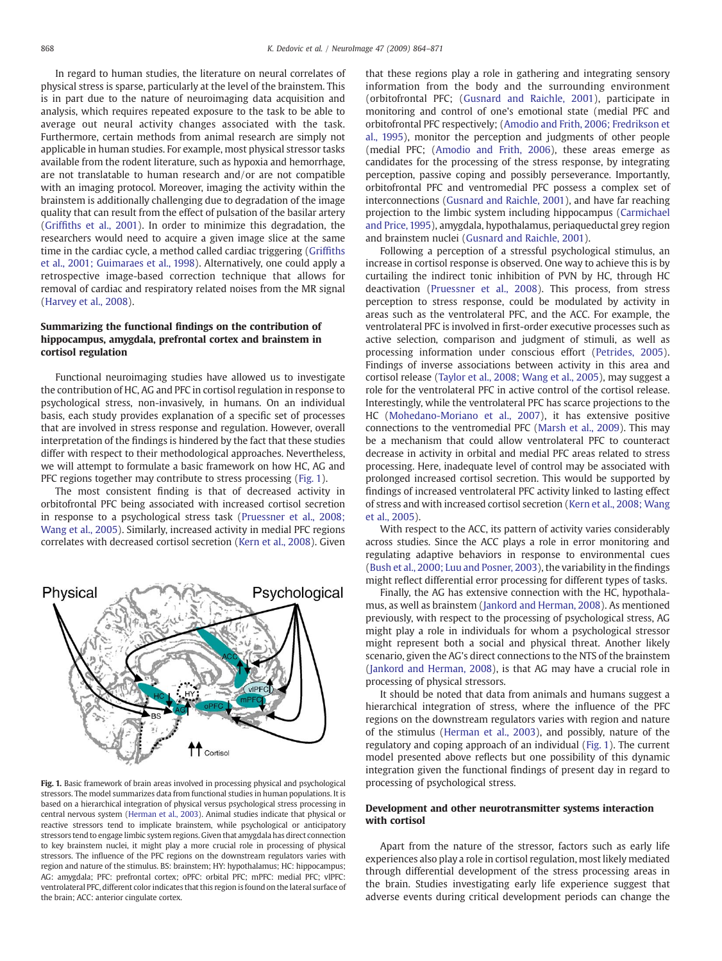In regard to human studies, the literature on neural correlates of physical stress is sparse, particularly at the level of the brainstem. This is in part due to the nature of neuroimaging data acquisition and analysis, which requires repeated exposure to the task to be able to average out neural activity changes associated with the task. Furthermore, certain methods from animal research are simply not applicable in human studies. For example, most physical stressor tasks available from the rodent literature, such as hypoxia and hemorrhage, are not translatable to human research and/or are not compatible with an imaging protocol. Moreover, imaging the activity within the brainstem is additionally challenging due to degradation of the image quality that can result from the effect of pulsation of the basilar artery (Griffi[ths et al., 2001\)](#page-6-0). In order to minimize this degradation, the researchers would need to acquire a given image slice at the same time in the cardiac cycle, a method called cardiac triggering [\(Grif](#page-6-0)fiths [et al., 2001; Guimaraes et al., 1998\)](#page-6-0). Alternatively, one could apply a retrospective image-based correction technique that allows for removal of cardiac and respiratory related noises from the MR signal [\(Harvey et al., 2008\)](#page-6-0).

# Summarizing the functional findings on the contribution of hippocampus, amygdala, prefrontal cortex and brainstem in cortisol regulation

Functional neuroimaging studies have allowed us to investigate the contribution of HC, AG and PFC in cortisol regulation in response to psychological stress, non-invasively, in humans. On an individual basis, each study provides explanation of a specific set of processes that are involved in stress response and regulation. However, overall interpretation of the findings is hindered by the fact that these studies differ with respect to their methodological approaches. Nevertheless, we will attempt to formulate a basic framework on how HC, AG and PFC regions together may contribute to stress processing (Fig. 1).

The most consistent finding is that of decreased activity in orbitofrontal PFC being associated with increased cortisol secretion in response to a psychological stress task [\(Pruessner et al., 2008;](#page-7-0) [Wang et al., 2005](#page-7-0)). Similarly, increased activity in medial PFC regions correlates with decreased cortisol secretion [\(Kern et al., 2008](#page-6-0)). Given



Fig. 1. Basic framework of brain areas involved in processing physical and psychological stressors. The model summarizes data from functional studies in human populations. It is based on a hierarchical integration of physical versus psychological stress processing in central nervous system ([Herman et al., 2003\)](#page-6-0). Animal studies indicate that physical or reactive stressors tend to implicate brainstem, while psychological or anticipatory stressors tend to engage limbic system regions. Given that amygdala has direct connection to key brainstem nuclei, it might play a more crucial role in processing of physical stressors. The influence of the PFC regions on the downstream regulators varies with region and nature of the stimulus. BS: brainstem; HY: hypothalamus; HC: hippocampus; AG: amygdala; PFC: prefrontal cortex; oPFC: orbital PFC; mPFC: medial PFC; vlPFC: ventrolateral PFC, different color indicates that this region is found on the lateral surface of the brain; ACC: anterior cingulate cortex.

that these regions play a role in gathering and integrating sensory information from the body and the surrounding environment (orbitofrontal PFC; ([Gusnard and Raichle, 2001](#page-6-0)), participate in monitoring and control of one's emotional state (medial PFC and orbitofrontal PFC respectively; ([Amodio and Frith, 2006; Fredrikson et](#page-5-0) [al., 1995\)](#page-5-0), monitor the perception and judgments of other people (medial PFC; ([Amodio and Frith, 2006](#page-5-0)), these areas emerge as candidates for the processing of the stress response, by integrating perception, passive coping and possibly perseverance. Importantly, orbitofrontal PFC and ventromedial PFC possess a complex set of interconnections ([Gusnard and Raichle, 2001](#page-6-0)), and have far reaching projection to the limbic system including hippocampus [\(Carmichael](#page-5-0) [and Price, 1995\)](#page-5-0), amygdala, hypothalamus, periaqueductal grey region and brainstem nuclei ([Gusnard and Raichle, 2001](#page-6-0)).

Following a perception of a stressful psychological stimulus, an increase in cortisol response is observed. One way to achieve this is by curtailing the indirect tonic inhibition of PVN by HC, through HC deactivation ([Pruessner et al., 2008](#page-7-0)). This process, from stress perception to stress response, could be modulated by activity in areas such as the ventrolateral PFC, and the ACC. For example, the ventrolateral PFC is involved in first-order executive processes such as active selection, comparison and judgment of stimuli, as well as processing information under conscious effort ([Petrides, 2005](#page-7-0)). Findings of inverse associations between activity in this area and cortisol release ([Taylor et al., 2008; Wang et al., 2005](#page-7-0)), may suggest a role for the ventrolateral PFC in active control of the cortisol release. Interestingly, while the ventrolateral PFC has scarce projections to the HC [\(Mohedano-Moriano et al., 2007\)](#page-6-0), it has extensive positive connections to the ventromedial PFC [\(Marsh et al., 2009](#page-6-0)). This may be a mechanism that could allow ventrolateral PFC to counteract decrease in activity in orbital and medial PFC areas related to stress processing. Here, inadequate level of control may be associated with prolonged increased cortisol secretion. This would be supported by findings of increased ventrolateral PFC activity linked to lasting effect of stress and with increased cortisol secretion ([Kern et al., 2008; Wang](#page-6-0) [et al., 2005](#page-6-0)).

With respect to the ACC, its pattern of activity varies considerably across studies. Since the ACC plays a role in error monitoring and regulating adaptive behaviors in response to environmental cues [\(Bush et al., 2000; Luu and Posner, 2003](#page-5-0)), the variability in the findings might reflect differential error processing for different types of tasks.

Finally, the AG has extensive connection with the HC, hypothalamus, as well as brainstem ([Jankord and Herman, 2008\)](#page-6-0). As mentioned previously, with respect to the processing of psychological stress, AG might play a role in individuals for whom a psychological stressor might represent both a social and physical threat. Another likely scenario, given the AG's direct connections to the NTS of the brainstem [\(Jankord and Herman, 2008\)](#page-6-0), is that AG may have a crucial role in processing of physical stressors.

It should be noted that data from animals and humans suggest a hierarchical integration of stress, where the influence of the PFC regions on the downstream regulators varies with region and nature of the stimulus [\(Herman et al., 2003](#page-6-0)), and possibly, nature of the regulatory and coping approach of an individual (Fig. 1). The current model presented above reflects but one possibility of this dynamic integration given the functional findings of present day in regard to processing of psychological stress.

# Development and other neurotransmitter systems interaction with cortisol

Apart from the nature of the stressor, factors such as early life experiences also play a role in cortisol regulation, most likely mediated through differential development of the stress processing areas in the brain. Studies investigating early life experience suggest that adverse events during critical development periods can change the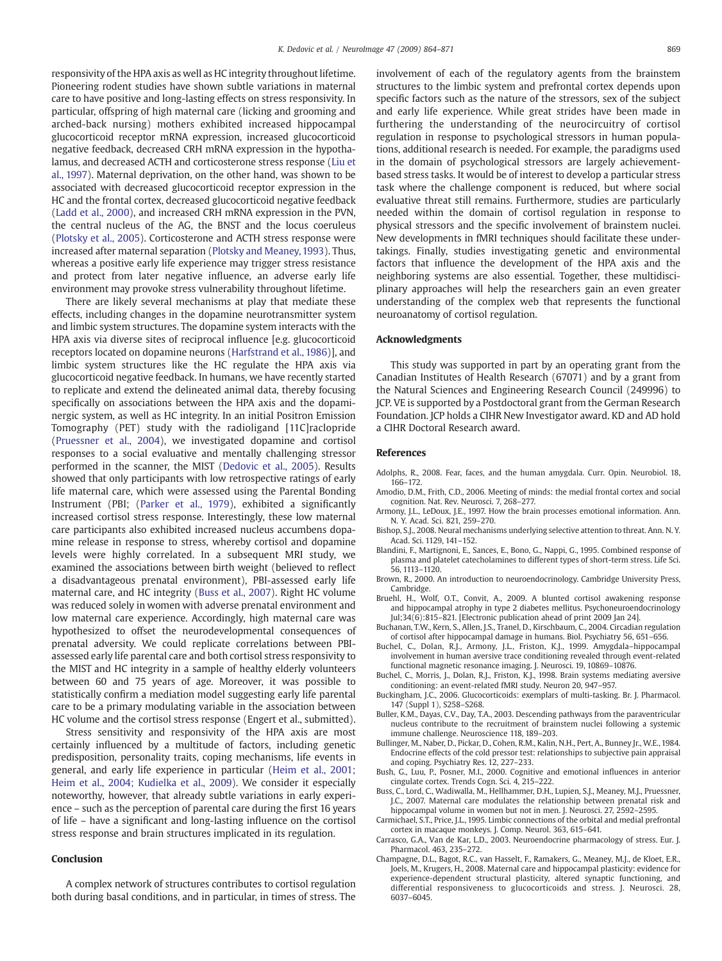<span id="page-5-0"></span>responsivity of the HPA axis as well as HC integrity throughout lifetime. Pioneering rodent studies have shown subtle variations in maternal care to have positive and long-lasting effects on stress responsivity. In particular, offspring of high maternal care (licking and grooming and arched-back nursing) mothers exhibited increased hippocampal glucocorticoid receptor mRNA expression, increased glucocorticoid negative feedback, decreased CRH mRNA expression in the hypothalamus, and decreased ACTH and corticosterone stress response ([Liu et](#page-6-0) [al., 1997](#page-6-0)). Maternal deprivation, on the other hand, was shown to be associated with decreased glucocorticoid receptor expression in the HC and the frontal cortex, decreased glucocorticoid negative feedback [\(Ladd et al., 2000\)](#page-6-0), and increased CRH mRNA expression in the PVN, the central nucleus of the AG, the BNST and the locus coeruleus [\(Plotsky et al., 2005](#page-7-0)). Corticosterone and ACTH stress response were increased after maternal separation [\(Plotsky and Meaney, 1993](#page-7-0)). Thus, whereas a positive early life experience may trigger stress resistance and protect from later negative influence, an adverse early life environment may provoke stress vulnerability throughout lifetime.

There are likely several mechanisms at play that mediate these effects, including changes in the dopamine neurotransmitter system and limbic system structures. The dopamine system interacts with the HPA axis via diverse sites of reciprocal influence [e.g. glucocorticoid receptors located on dopamine neurons [\(Harfstrand et al., 1986\)](#page-6-0)], and limbic system structures like the HC regulate the HPA axis via glucocorticoid negative feedback. In humans, we have recently started to replicate and extend the delineated animal data, thereby focusing specifically on associations between the HPA axis and the dopaminergic system, as well as HC integrity. In an initial Positron Emission Tomography (PET) study with the radioligand [11C]raclopride [\(Pruessner et al., 2004\)](#page-7-0), we investigated dopamine and cortisol responses to a social evaluative and mentally challenging stressor performed in the scanner, the MIST ([Dedovic et al., 2005](#page-6-0)). Results showed that only participants with low retrospective ratings of early life maternal care, which were assessed using the Parental Bonding Instrument (PBI; ([Parker et al., 1979](#page-6-0)), exhibited a significantly increased cortisol stress response. Interestingly, these low maternal care participants also exhibited increased nucleus accumbens dopamine release in response to stress, whereby cortisol and dopamine levels were highly correlated. In a subsequent MRI study, we examined the associations between birth weight (believed to reflect a disadvantageous prenatal environment), PBI-assessed early life maternal care, and HC integrity (Buss et al., 2007). Right HC volume was reduced solely in women with adverse prenatal environment and low maternal care experience. Accordingly, high maternal care was hypothesized to offset the neurodevelopmental consequences of prenatal adversity. We could replicate correlations between PBIassessed early life parental care and both cortisol stress responsivity to the MIST and HC integrity in a sample of healthy elderly volunteers between 60 and 75 years of age. Moreover, it was possible to statistically confirm a mediation model suggesting early life parental care to be a primary modulating variable in the association between HC volume and the cortisol stress response (Engert et al., submitted).

Stress sensitivity and responsivity of the HPA axis are most certainly influenced by a multitude of factors, including genetic predisposition, personality traits, coping mechanisms, life events in general, and early life experience in particular ([Heim et al., 2001;](#page-6-0) [Heim et al., 2004; Kudielka et al., 2009](#page-6-0)). We consider it especially noteworthy, however, that already subtle variations in early experience – such as the perception of parental care during the first 16 years of life – have a significant and long-lasting influence on the cortisol stress response and brain structures implicated in its regulation.

## Conclusion

A complex network of structures contributes to cortisol regulation both during basal conditions, and in particular, in times of stress. The involvement of each of the regulatory agents from the brainstem structures to the limbic system and prefrontal cortex depends upon specific factors such as the nature of the stressors, sex of the subject and early life experience. While great strides have been made in furthering the understanding of the neurocircuitry of cortisol regulation in response to psychological stressors in human populations, additional research is needed. For example, the paradigms used in the domain of psychological stressors are largely achievementbased stress tasks. It would be of interest to develop a particular stress task where the challenge component is reduced, but where social evaluative threat still remains. Furthermore, studies are particularly needed within the domain of cortisol regulation in response to physical stressors and the specific involvement of brainstem nuclei. New developments in fMRI techniques should facilitate these undertakings. Finally, studies investigating genetic and environmental factors that influence the development of the HPA axis and the neighboring systems are also essential. Together, these multidisciplinary approaches will help the researchers gain an even greater understanding of the complex web that represents the functional neuroanatomy of cortisol regulation.

### Acknowledgments

This study was supported in part by an operating grant from the Canadian Institutes of Health Research (67071) and by a grant from the Natural Sciences and Engineering Research Council (249996) to JCP. VE is supported by a Postdoctoral grant from the German Research Foundation. JCP holds a CIHR New Investigator award. KD and AD hold a CIHR Doctoral Research award.

#### References

- Adolphs, R., 2008. Fear, faces, and the human amygdala. Curr. Opin. Neurobiol. 18, 166–172.
- Amodio, D.M., Frith, C.D., 2006. Meeting of minds: the medial frontal cortex and social cognition. Nat. Rev. Neurosci. 7, 268–277.
- Armony, J.L., LeDoux, J.E., 1997. How the brain processes emotional information. Ann. N. Y. Acad. Sci. 821, 259–270.
- Bishop, S.J., 2008. Neural mechanisms underlying selective attention to threat. Ann. N. Y. Acad. Sci. 1129, 141–152.
- Blandini, F., Martignoni, E., Sances, E., Bono, G., Nappi, G., 1995. Combined response of plasma and platelet catecholamines to different types of short-term stress. Life Sci. 56, 1113–1120.
- Brown, R., 2000. An introduction to neuroendocrinology. Cambridge University Press, Cambridge.
- Bruehl, H., Wolf, O.T., Convit, A., 2009. A blunted cortisol awakening response and hippocampal atrophy in type 2 diabetes mellitus. Psychoneuroendocrinology Jul;34(6):815–821. [Electronic publication ahead of print 2009 Jan 24].
- Buchanan, T.W., Kern, S., Allen, J.S., Tranel, D., Kirschbaum, C., 2004. Circadian regulation of cortisol after hippocampal damage in humans. Biol. Psychiatry 56, 651–656.
- Buchel, C., Dolan, R.J., Armony, J.L., Friston, K.J., 1999. Amygdala–hippocampal involvement in human aversive trace conditioning revealed through event-related functional magnetic resonance imaging. J. Neurosci. 19, 10869–10876.
- Buchel, C., Morris, J., Dolan, R.J., Friston, K.J., 1998. Brain systems mediating aversive conditioning: an event-related fMRI study. Neuron 20, 947–957.
- Buckingham, J.C., 2006. Glucocorticoids: exemplars of multi-tasking. Br. J. Pharmacol. 147 (Suppl 1), S258–S268.
- Buller, K.M., Dayas, C.V., Day, T.A., 2003. Descending pathways from the paraventricular nucleus contribute to the recruitment of brainstem nuclei following a systemic immune challenge. Neuroscience 118, 189–203.
- Bullinger, M., Naber, D., Pickar, D., Cohen, R.M., Kalin, N.H., Pert, A., Bunney Jr., W.E., 1984. Endocrine effects of the cold pressor test: relationships to subjective pain appraisal and coping. Psychiatry Res. 12, 227–233.
- Bush, G., Luu, P., Posner, M.I., 2000. Cognitive and emotional influences in anterior cingulate cortex. Trends Cogn. Sci. 4, 215–222.
- Buss, C., Lord, C., Wadiwalla, M., Hellhammer, D.H., Lupien, S.J., Meaney, M.J., Pruessner, J.C., 2007. Maternal care modulates the relationship between prenatal risk and hippocampal volume in women but not in men. J. Neurosci. 27, 2592–2595.
- Carmichael, S.T., Price, J.L., 1995. Limbic connections of the orbital and medial prefrontal
- cortex in macaque monkeys. J. Comp. Neurol. 363, 615–641. Carrasco, G.A., Van de Kar, L.D., 2003. Neuroendocrine pharmacology of stress. Eur. J. Pharmacol. 463, 235–272.
- Champagne, D.L., Bagot, R.C., van Hasselt, F., Ramakers, G., Meaney, M.J., de Kloet, E.R., Joels, M., Krugers, H., 2008. Maternal care and hippocampal plasticity: evidence for experience-dependent structural plasticity, altered synaptic functioning, and differential responsiveness to glucocorticoids and stress. J. Neurosci. 28, 6037–6045.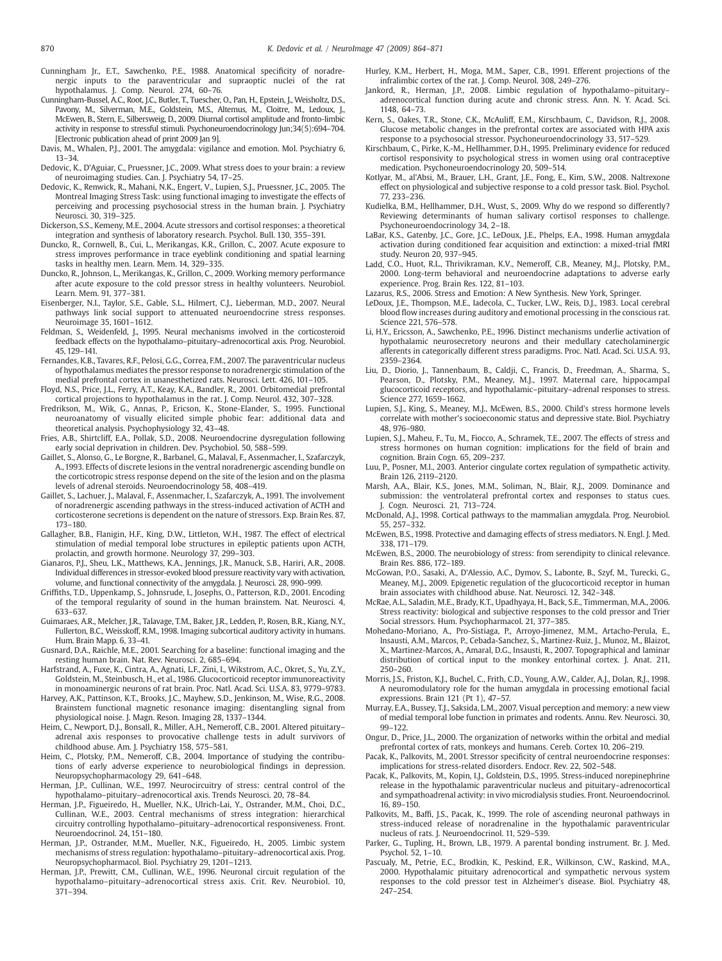- <span id="page-6-0"></span>Cunningham Jr., E.T., Sawchenko, P.E., 1988. Anatomical specificity of noradrenergic inputs to the paraventricular and supraoptic nuclei of the rat hypothalamus. J. Comp. Neurol. 274, 60–76.
- Cunningham-Bussel, A.C., Root, J.C., Butler, T., Tuescher, O., Pan, H., Epstein, J., Weisholtz, D.S., Pavony, M., Silverman, M.E., Goldstein, M.S., Altemus, M., Cloitre, M., Ledoux, J., McEwen, B., Stern, E., Silbersweig, D., 2009. Diurnal cortisol amplitude and fronto-limbic activity in response to stressful stimuli. Psychoneuroendocrinology Jun:34(5):694–704. [Electronic publication ahead of print 2009 Jan 9].
- Davis, M., Whalen, P.J., 2001. The amygdala: vigilance and emotion. Mol. Psychiatry 6, 13–34.
- Dedovic, K., D'Aguiar, C., Pruessner, J.C., 2009. What stress does to your brain: a review
- of neuroimaging studies. Can. J. Psychiatry 54, 17–25. Dedovic, K., Renwick, R., Mahani, N.K., Engert, V., Lupien, S.J., Pruessner, J.C., 2005. The Montreal Imaging Stress Task: using functional imaging to investigate the effects of perceiving and processing psychosocial stress in the human brain. J. Psychiatry Neurosci. 30, 319–325.
- Dickerson, S.S., Kemeny, M.E., 2004. Acute stressors and cortisol responses: a theoretical integration and synthesis of laboratory research. Psychol. Bull. 130, 355–391.
- Duncko, R., Cornwell, B., Cui, L., Merikangas, K.R., Grillon, C., 2007. Acute exposure to stress improves performance in trace eyeblink conditioning and spatial learning tasks in healthy men. Learn. Mem. 14, 329–335.
- Duncko, R., Johnson, L., Merikangas, K., Grillon, C., 2009. Working memory performance after acute exposure to the cold pressor stress in healthy volunteers. Neurobiol. Learn. Mem. 91, 377–381.
- Eisenberger, N.I., Taylor, S.E., Gable, S.L., Hilmert, C.J., Lieberman, M.D., 2007. Neural pathways link social support to attenuated neuroendocrine stress responses. Neuroimage 35, 1601–1612.
- Feldman, S., Weidenfeld, J., 1995. Neural mechanisms involved in the corticosteroid feedback effects on the hypothalamo–pituitary–adrenocortical axis. Prog. Neurobiol. 45, 129–141.
- Fernandes, K.B., Tavares, R.F., Pelosi, G.G., Correa, F.M., 2007. The paraventricular nucleus of hypothalamus mediates the pressor response to noradrenergic stimulation of the medial prefrontal cortex in unanesthetized rats. Neurosci. Lett. 426, 101–105.
- Floyd, N.S., Price, J.L., Ferry, A.T., Keay, K.A., Bandler, R., 2001. Orbitomedial prefrontal cortical projections to hypothalamus in the rat. J. Comp. Neurol. 432, 307–328.
- Fredrikson, M., Wik, G., Annas, P., Ericson, K., Stone-Elander, S., 1995. Functional neuroanatomy of visually elicited simple phobic fear: additional data and theoretical analysis. Psychophysiology 32, 43–48.
- Fries, A.B., Shirtcliff, E.A., Pollak, S.D., 2008. Neuroendocrine dysregulation following early social deprivation in children. Dev. Psychobiol. 50, 588–599.
- Gaillet, S., Alonso, G., Le Borgne, R., Barbanel, G., Malaval, F., Assenmacher, I., Szafarczyk, A., 1993. Effects of discrete lesions in the ventral noradrenergic ascending bundle on the corticotropic stress response depend on the site of the lesion and on the plasma levels of adrenal steroids. Neuroendocrinology 58, 408–419.
- Gaillet, S., Lachuer, J., Malaval, F., Assenmacher, I., Szafarczyk, A., 1991. The involvement of noradrenergic ascending pathways in the stress-induced activation of ACTH and corticosterone secretions is dependent on the nature of stressors. Exp. Brain Res. 87, 173–180.
- Gallagher, B.B., Flanigin, H.F., King, D.W., Littleton, W.H., 1987. The effect of electrical stimulation of medial temporal lobe structures in epileptic patients upon ACTH, prolactin, and growth hormone. Neurology 37, 299–303.
- Gianaros, P.J., Sheu, L.K., Matthews, K.A., Jennings, J.R., Manuck, S.B., Hariri, A.R., 2008. Individual differences in stressor-evoked blood pressure reactivity vary with activation, volume, and functional connectivity of the amygdala. J. Neurosci. 28, 990–999.
- Griffiths, T.D., Uppenkamp, S., Johnsrude, I., Josephs, O., Patterson, R.D., 2001. Encoding of the temporal regularity of sound in the human brainstem. Nat. Neurosci. 4, 633–637.
- Guimaraes, A.R., Melcher, J.R., Talavage, T.M., Baker, J.R., Ledden, P., Rosen, B.R., Kiang, N.Y., Fullerton, B.C., Weisskoff, R.M., 1998. Imaging subcortical auditory activity in humans. Hum. Brain Mapp. 6, 33–41.
- Gusnard, D.A., Raichle, M.E., 2001. Searching for a baseline: functional imaging and the resting human brain. Nat. Rev. Neurosci. 2, 685–694.
- Harfstrand, A., Fuxe, K., Cintra, A., Agnati, L.F., Zini, I., Wikstrom, A.C., Okret, S., Yu, Z.Y., Goldstein, M., Steinbusch, H., et al., 1986. Glucocorticoid receptor immunoreactivity in monoaminergic neurons of rat brain. Proc. Natl. Acad. Sci. U.S.A. 83, 9779–9783.
- Harvey, A.K., Pattinson, K.T., Brooks, J.C., Mayhew, S.D., Jenkinson, M., Wise, R.G., 2008. Brainstem functional magnetic resonance imaging: disentangling signal from physiological noise. J. Magn. Reson. Imaging 28, 1337–1344.
- Heim, C., Newport, D.J., Bonsall, R., Miller, A.H., Nemeroff, C.B., 2001. Altered pituitary– adrenal axis responses to provocative challenge tests in adult survivors of childhood abuse. Am. J. Psychiatry 158, 575–581.
- Heim, C., Plotsky, P.M., Nemeroff, C.B., 2004. Importance of studying the contributions of early adverse experience to neurobiological findings in depression. Neuropsychopharmacology 29, 641–648.
- Herman, J.P., Cullinan, W.E., 1997. Neurocircuitry of stress: central control of the hypothalamo–pituitary–adrenocortical axis. Trends Neurosci. 20, 78–84.
- Herman, J.P., Figueiredo, H., Mueller, N.K., Ulrich-Lai, Y., Ostrander, M.M., Choi, D.C., Cullinan, W.E., 2003. Central mechanisms of stress integration: hierarchical circuitry controlling hypothalamo–pituitary–adrenocortical responsiveness. Front. Neuroendocrinol. 24, 151–180.
- Herman, J.P., Ostrander, M.M., Mueller, N.K., Figueiredo, H., 2005. Limbic system mechanisms of stress regulation: hypothalamo–pituitary–adrenocortical axis. Prog. Neuropsychopharmacol. Biol. Psychiatry 29, 1201–1213.
- Herman, J.P., Prewitt, C.M., Cullinan, W.E., 1996. Neuronal circuit regulation of the hypothalamo–pituitary–adrenocortical stress axis. Crit. Rev. Neurobiol. 10, 371–394.
- Hurley, K.M., Herbert, H., Moga, M.M., Saper, C.B., 1991. Efferent projections of the infralimbic cortex of the rat. J. Comp. Neurol. 308, 249–276.
- Jankord, R., Herman, J.P., 2008. Limbic regulation of hypothalamo–pituitary– adrenocortical function during acute and chronic stress. Ann. N. Y. Acad. Sci. 1148, 64–73.
- Kern, S., Oakes, T.R., Stone, C.K., McAuliff, E.M., Kirschbaum, C., Davidson, R.J., 2008. Glucose metabolic changes in the prefrontal cortex are associated with HPA axis response to a psychosocial stressor. Psychoneuroendocrinology 33, 517–529.
- Kirschbaum, C., Pirke, K.-M., Hellhammer, D.H., 1995. Preliminary evidence for reduced cortisol responsivity to psychological stress in women using oral contraceptive medication. Psychoneuroendocrinology 20, 509–514.
- Kotlyar, M., al'Absi, M., Brauer, L.H., Grant, J.E., Fong, E., Kim, S.W., 2008. Naltrexone effect on physiological and subjective response to a cold pressor task. Biol. Psychol. 77, 233–236.
- Kudielka, B.M., Hellhammer, D.H., Wust, S., 2009. Why do we respond so differently? Reviewing determinants of human salivary cortisol responses to challenge.
- Psychoneuroendocrinology 34, 2–18. LaBar, K.S., Gatenby, J.C., Gore, J.C., LeDoux, J.E., Phelps, E.A., 1998. Human amygdala activation during conditioned fear acquisition and extinction: a mixed-trial fMRI study. Neuron 20, 937–945.
- Ladd, C.O., Huot, R.L., Thrivikraman, K.V., Nemeroff, C.B., Meaney, M.J., Plotsky, P.M., 2000. Long-term behavioral and neuroendocrine adaptations to adverse early experience. Prog. Brain Res. 122, 81–103.
- Lazarus, R.S., 2006. Stress and Emotion: A New Synthesis. New York, Springer.
- LeDoux, J.E., Thompson, M.E., Iadecola, C., Tucker, L.W., Reis, D.J., 1983. Local cerebral blood flow increases during auditory and emotional processing in the conscious rat. Science 221, 576–578.
- Li, H.Y., Ericsson, A., Sawchenko, P.E., 1996. Distinct mechanisms underlie activation of hypothalamic neurosecretory neurons and their medullary catecholaminergic afferents in categorically different stress paradigms. Proc. Natl. Acad. Sci. U.S.A. 93, 2359–2364.
- Liu, D., Diorio, J., Tannenbaum, B., Caldji, C., Francis, D., Freedman, A., Sharma, S., Pearson, D., Plotsky, P.M., Meaney, M.J., 1997. Maternal care, hippocampal glucocorticoid receptors, and hypothalamic–pituitary–adrenal responses to stress. Science 277, 1659–1662.
- Lupien, S.J., King, S., Meaney, M.J., McEwen, B.S., 2000. Child's stress hormone levels correlate with mother's socioeconomic status and depressive state. Biol. Psychiatry 48, 976–980.
- Lupien, S.J., Maheu, F., Tu, M., Fiocco, A., Schramek, T.E., 2007. The effects of stress and stress hormones on human cognition: implications for the field of brain and cognition. Brain Cogn. 65, 209–237.
- Luu, P., Posner, M.I., 2003. Anterior cingulate cortex regulation of sympathetic activity. Brain 126, 2119–2120.
- Marsh, A.A., Blair, K.S., Jones, M.M., Soliman, N., Blair, R.J., 2009. Dominance and submission: the ventrolateral prefrontal cortex and responses to status cues. J. Cogn. Neurosci. 21, 713–724.
- McDonald, A.J., 1998. Cortical pathways to the mammalian amygdala. Prog. Neurobiol. 55, 257–332.
- McEwen, B.S., 1998. Protective and damaging effects of stress mediators. N. Engl. J. Med. 338, 171–179.
- McEwen, B.S., 2000. The neurobiology of stress: from serendipity to clinical relevance. Brain Res. 886, 172–189.
- McGowan, P.O., Sasaki, A., D'Alessio, A.C., Dymov, S., Labonte, B., Szyf, M., Turecki, G., Meaney, M.J., 2009. Epigenetic regulation of the glucocorticoid receptor in human brain associates with childhood abuse. Nat. Neurosci. 12, 342–348.
- McRae, A.L., Saladin, M.E., Brady, K.T., Upadhyaya, H., Back, S.E., Timmerman, M.A., 2006. Stress reactivity: biological and subjective responses to the cold pressor and Trier Social stressors. Hum. Psychopharmacol. 21, 377–385.
- Mohedano-Moriano, A., Pro-Sistiaga, P., Arroyo-Jimenez, M.M., Artacho-Perula, E., Insausti, A.M., Marcos, P., Cebada-Sanchez, S., Martinez-Ruiz, J., Munoz, M., Blaizot, X., Martinez-Marcos, A., Amaral, D.G., Insausti, R., 2007. Topographical and laminar distribution of cortical input to the monkey entorhinal cortex. J. Anat. 211, 250–260.
- Morris, J.S., Friston, K.J., Buchel, C., Frith, C.D., Young, A.W., Calder, A.J., Dolan, R.J., 1998. A neuromodulatory role for the human amygdala in processing emotional facial expressions. Brain 121 (Pt 1), 47–57.
- Murray, E.A., Bussey, T.J., Saksida, L.M., 2007. Visual perception and memory: a new view of medial temporal lobe function in primates and rodents. Annu. Rev. Neurosci. 30, 99–122.
- Ongur, D., Price, J.L., 2000. The organization of networks within the orbital and medial prefrontal cortex of rats, monkeys and humans. Cereb. Cortex 10, 206–219.
- Pacak, K., Palkovits, M., 2001. Stressor specificity of central neuroendocrine responses: implications for stress-related disorders. Endocr. Rev. 22, 502–548.
- Pacak, K., Palkovits, M., Kopin, I.J., Goldstein, D.S., 1995. Stress-induced norepinephrine release in the hypothalamic paraventricular nucleus and pituitary–adrenocortical and sympathoadrenal activity: in vivo microdialysis studies. Front. Neuroendocrinol. 16, 89–150.
- Palkovits, M., Baffi, J.S., Pacak, K., 1999. The role of ascending neuronal pathways in stress-induced release of noradrenaline in the hypothalamic paraventricular nucleus of rats. J. Neuroendocrinol. 11, 529–539.
- Parker, G., Tupling, H., Brown, L.B., 1979. A parental bonding instrument. Br. J. Med. Psychol. 52, 1–10.
- Pascualy, M., Petrie, E.C., Brodkin, K., Peskind, E.R., Wilkinson, C.W., Raskind, M.A., 2000. Hypothalamic pituitary adrenocortical and sympathetic nervous system responses to the cold pressor test in Alzheimer's disease. Biol. Psychiatry 48, 247–254.